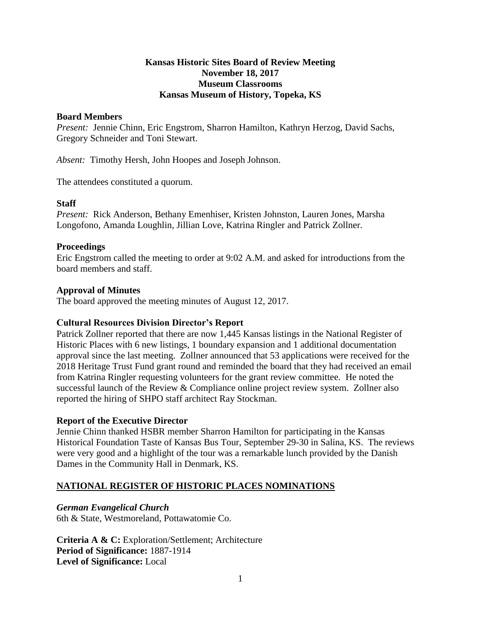#### **Kansas Historic Sites Board of Review Meeting November 18, 2017 Museum Classrooms Kansas Museum of History, Topeka, KS**

#### **Board Members**

*Present:* Jennie Chinn, Eric Engstrom, Sharron Hamilton, Kathryn Herzog, David Sachs, Gregory Schneider and Toni Stewart.

*Absent:* Timothy Hersh, John Hoopes and Joseph Johnson.

The attendees constituted a quorum.

#### **Staff**

*Present:* Rick Anderson, Bethany Emenhiser, Kristen Johnston, Lauren Jones, Marsha Longofono, Amanda Loughlin, Jillian Love, Katrina Ringler and Patrick Zollner.

#### **Proceedings**

Eric Engstrom called the meeting to order at 9:02 A.M. and asked for introductions from the board members and staff.

#### **Approval of Minutes**

The board approved the meeting minutes of August 12, 2017.

#### **Cultural Resources Division Director's Report**

Patrick Zollner reported that there are now 1,445 Kansas listings in the National Register of Historic Places with 6 new listings, 1 boundary expansion and 1 additional documentation approval since the last meeting. Zollner announced that 53 applications were received for the 2018 Heritage Trust Fund grant round and reminded the board that they had received an email from Katrina Ringler requesting volunteers for the grant review committee. He noted the successful launch of the Review & Compliance online project review system. Zollner also reported the hiring of SHPO staff architect Ray Stockman.

## **Report of the Executive Director**

Jennie Chinn thanked HSBR member Sharron Hamilton for participating in the Kansas Historical Foundation Taste of Kansas Bus Tour, September 29-30 in Salina, KS. The reviews were very good and a highlight of the tour was a remarkable lunch provided by the Danish Dames in the Community Hall in Denmark, KS.

## **NATIONAL REGISTER OF HISTORIC PLACES NOMINATIONS**

## *German Evangelical Church*

6th & State, Westmoreland, Pottawatomie Co.

**Criteria A & C:** Exploration/Settlement; Architecture **Period of Significance:** 1887-1914 **Level of Significance:** Local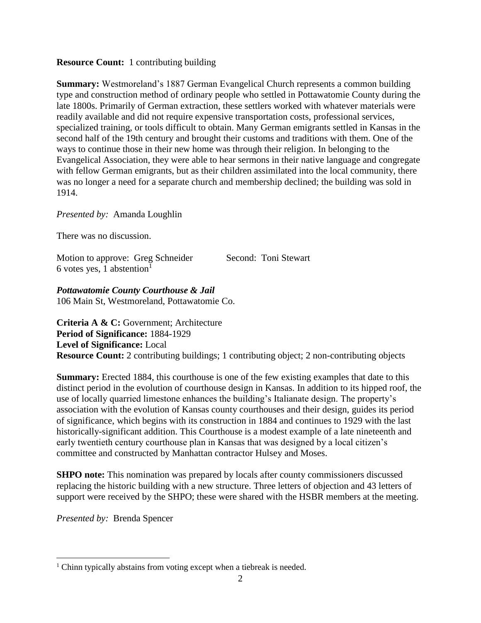#### **Resource Count:** 1 contributing building

**Summary:** Westmoreland's 1887 German Evangelical Church represents a common building type and construction method of ordinary people who settled in Pottawatomie County during the late 1800s. Primarily of German extraction, these settlers worked with whatever materials were readily available and did not require expensive transportation costs, professional services, specialized training, or tools difficult to obtain. Many German emigrants settled in Kansas in the second half of the 19th century and brought their customs and traditions with them. One of the ways to continue those in their new home was through their religion. In belonging to the Evangelical Association, they were able to hear sermons in their native language and congregate with fellow German emigrants, but as their children assimilated into the local community, there was no longer a need for a separate church and membership declined; the building was sold in 1914.

*Presented by:* Amanda Loughlin

There was no discussion.

Motion to approve: Greg Schneider Second: Toni Stewart 6 votes yes, 1 abstention<sup>1</sup>

*Pottawatomie County Courthouse & Jail* 106 Main St, Westmoreland, Pottawatomie Co.

**Criteria A & C:** Government; Architecture **Period of Significance:** 1884-1929 **Level of Significance:** Local **Resource Count:** 2 contributing buildings; 1 contributing object; 2 non-contributing objects

**Summary:** Erected 1884, this courthouse is one of the few existing examples that date to this distinct period in the evolution of courthouse design in Kansas. In addition to its hipped roof, the use of locally quarried limestone enhances the building's Italianate design. The property's association with the evolution of Kansas county courthouses and their design, guides its period of significance, which begins with its construction in 1884 and continues to 1929 with the last historically-significant addition. This Courthouse is a modest example of a late nineteenth and early twentieth century courthouse plan in Kansas that was designed by a local citizen's committee and constructed by Manhattan contractor Hulsey and Moses.

**SHPO note:** This nomination was prepared by locals after county commissioners discussed replacing the historic building with a new structure. Three letters of objection and 43 letters of support were received by the SHPO; these were shared with the HSBR members at the meeting.

*Presented by:* Brenda Spencer

 $\overline{a}$ 

<sup>&</sup>lt;sup>1</sup> Chinn typically abstains from voting except when a tiebreak is needed.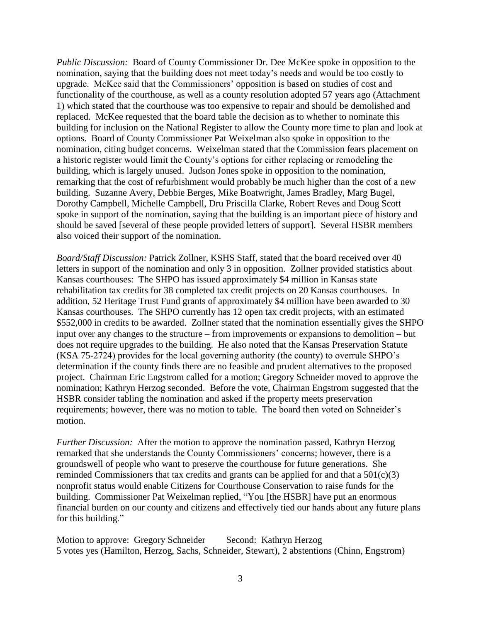*Public Discussion:* Board of County Commissioner Dr. Dee McKee spoke in opposition to the nomination, saying that the building does not meet today's needs and would be too costly to upgrade. McKee said that the Commissioners' opposition is based on studies of cost and functionality of the courthouse, as well as a county resolution adopted 57 years ago (Attachment 1) which stated that the courthouse was too expensive to repair and should be demolished and replaced. McKee requested that the board table the decision as to whether to nominate this building for inclusion on the National Register to allow the County more time to plan and look at options. Board of County Commissioner Pat Weixelman also spoke in opposition to the nomination, citing budget concerns. Weixelman stated that the Commission fears placement on a historic register would limit the County's options for either replacing or remodeling the building, which is largely unused. Judson Jones spoke in opposition to the nomination, remarking that the cost of refurbishment would probably be much higher than the cost of a new building. Suzanne Avery, Debbie Berges, Mike Boatwright, James Bradley, Marg Bugel, Dorothy Campbell, Michelle Campbell, Dru Priscilla Clarke, Robert Reves and Doug Scott spoke in support of the nomination, saying that the building is an important piece of history and should be saved [several of these people provided letters of support]. Several HSBR members also voiced their support of the nomination.

*Board/Staff Discussion:* Patrick Zollner, KSHS Staff, stated that the board received over 40 letters in support of the nomination and only 3 in opposition. Zollner provided statistics about Kansas courthouses: The SHPO has issued approximately \$4 million in Kansas state rehabilitation tax credits for 38 completed tax credit projects on 20 Kansas courthouses. In addition, 52 Heritage Trust Fund grants of approximately \$4 million have been awarded to 30 Kansas courthouses. The SHPO currently has 12 open tax credit projects, with an estimated \$552,000 in credits to be awarded. Zollner stated that the nomination essentially gives the SHPO input over any changes to the structure – from improvements or expansions to demolition – but does not require upgrades to the building. He also noted that the Kansas Preservation Statute (KSA 75-2724) provides for the local governing authority (the county) to overrule SHPO's determination if the county finds there are no feasible and prudent alternatives to the proposed project. Chairman Eric Engstrom called for a motion; Gregory Schneider moved to approve the nomination; Kathryn Herzog seconded. Before the vote, Chairman Engstrom suggested that the HSBR consider tabling the nomination and asked if the property meets preservation requirements; however, there was no motion to table. The board then voted on Schneider's motion.

*Further Discussion:* After the motion to approve the nomination passed, Kathryn Herzog remarked that she understands the County Commissioners' concerns; however, there is a groundswell of people who want to preserve the courthouse for future generations. She reminded Commissioners that tax credits and grants can be applied for and that a  $501(c)(3)$ nonprofit status would enable Citizens for Courthouse Conservation to raise funds for the building. Commissioner Pat Weixelman replied, "You [the HSBR] have put an enormous financial burden on our county and citizens and effectively tied our hands about any future plans for this building."

Motion to approve: Gregory Schneider Second: Kathryn Herzog 5 votes yes (Hamilton, Herzog, Sachs, Schneider, Stewart), 2 abstentions (Chinn, Engstrom)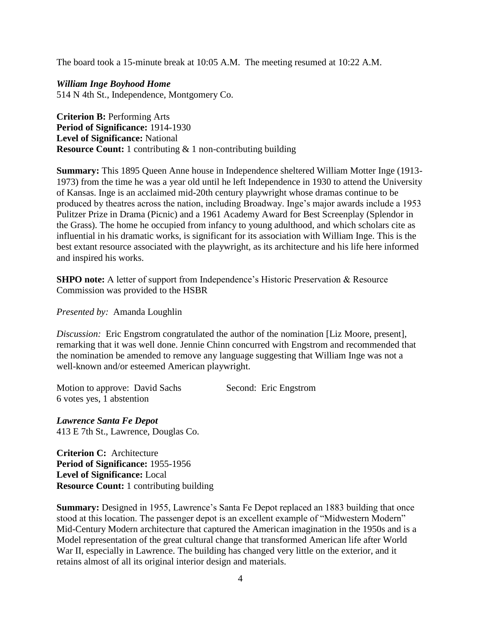The board took a 15-minute break at 10:05 A.M. The meeting resumed at 10:22 A.M.

*William Inge Boyhood Home* 514 N 4th St., Independence, Montgomery Co.

**Criterion B:** Performing Arts **Period of Significance:** 1914-1930 **Level of Significance:** National **Resource Count:** 1 contributing & 1 non-contributing building

**Summary:** This 1895 Queen Anne house in Independence sheltered William Motter Inge (1913- 1973) from the time he was a year old until he left Independence in 1930 to attend the University of Kansas. Inge is an acclaimed mid-20th century playwright whose dramas continue to be produced by theatres across the nation, including Broadway. Inge's major awards include a 1953 Pulitzer Prize in Drama (Picnic) and a 1961 Academy Award for Best Screenplay (Splendor in the Grass). The home he occupied from infancy to young adulthood, and which scholars cite as influential in his dramatic works, is significant for its association with William Inge. This is the best extant resource associated with the playwright, as its architecture and his life here informed and inspired his works.

**SHPO note:** A letter of support from Independence's Historic Preservation & Resource Commission was provided to the HSBR

*Presented by:* Amanda Loughlin

*Discussion:* Eric Engstrom congratulated the author of the nomination [Liz Moore, present], remarking that it was well done. Jennie Chinn concurred with Engstrom and recommended that the nomination be amended to remove any language suggesting that William Inge was not a well-known and/or esteemed American playwright.

Motion to approve: David Sachs Second: Eric Engstrom 6 votes yes, 1 abstention

*Lawrence Santa Fe Depot* 413 E 7th St., Lawrence, Douglas Co.

**Criterion C:** Architecture **Period of Significance:** 1955-1956 **Level of Significance:** Local **Resource Count:** 1 contributing building

**Summary:** Designed in 1955, Lawrence's Santa Fe Depot replaced an 1883 building that once stood at this location. The passenger depot is an excellent example of "Midwestern Modern" Mid-Century Modern architecture that captured the American imagination in the 1950s and is a Model representation of the great cultural change that transformed American life after World War II, especially in Lawrence. The building has changed very little on the exterior, and it retains almost of all its original interior design and materials.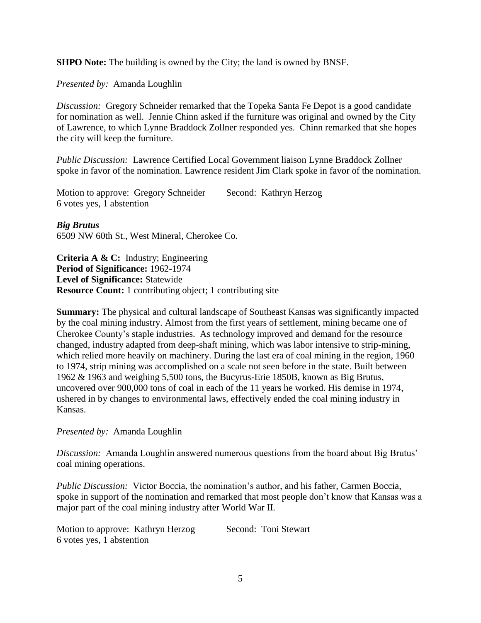**SHPO Note:** The building is owned by the City; the land is owned by BNSF.

*Presented by:* Amanda Loughlin

*Discussion:* Gregory Schneider remarked that the Topeka Santa Fe Depot is a good candidate for nomination as well. Jennie Chinn asked if the furniture was original and owned by the City of Lawrence, to which Lynne Braddock Zollner responded yes. Chinn remarked that she hopes the city will keep the furniture.

*Public Discussion:* Lawrence Certified Local Government liaison Lynne Braddock Zollner spoke in favor of the nomination. Lawrence resident Jim Clark spoke in favor of the nomination.

Motion to approve: Gregory Schneider Second: Kathryn Herzog 6 votes yes, 1 abstention

*Big Brutus*

6509 NW 60th St., West Mineral, Cherokee Co.

**Criteria A & C:** Industry; Engineering **Period of Significance:** 1962-1974 **Level of Significance:** Statewide **Resource Count:** 1 contributing object; 1 contributing site

**Summary:** The physical and cultural landscape of Southeast Kansas was significantly impacted by the coal mining industry. Almost from the first years of settlement, mining became one of Cherokee County's staple industries. As technology improved and demand for the resource changed, industry adapted from deep-shaft mining, which was labor intensive to strip-mining, which relied more heavily on machinery. During the last era of coal mining in the region, 1960 to 1974, strip mining was accomplished on a scale not seen before in the state. Built between 1962 & 1963 and weighing 5,500 tons, the Bucyrus-Erie 1850B, known as Big Brutus, uncovered over 900,000 tons of coal in each of the 11 years he worked. His demise in 1974, ushered in by changes to environmental laws, effectively ended the coal mining industry in Kansas.

*Presented by:* Amanda Loughlin

*Discussion:* Amanda Loughlin answered numerous questions from the board about Big Brutus' coal mining operations.

*Public Discussion:* Victor Boccia, the nomination's author, and his father, Carmen Boccia, spoke in support of the nomination and remarked that most people don't know that Kansas was a major part of the coal mining industry after World War II.

Motion to approve: Kathryn Herzog Second: Toni Stewart 6 votes yes, 1 abstention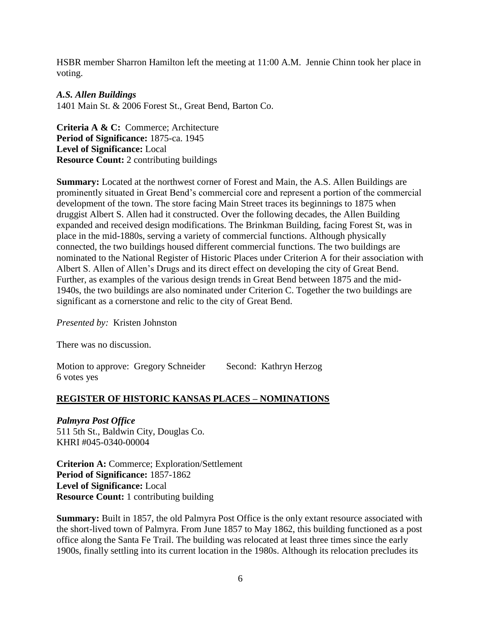HSBR member Sharron Hamilton left the meeting at 11:00 A.M. Jennie Chinn took her place in voting.

#### *A.S. Allen Buildings*

1401 Main St. & 2006 Forest St., Great Bend, Barton Co.

**Criteria A & C:** Commerce; Architecture **Period of Significance:** 1875-ca. 1945 **Level of Significance:** Local **Resource Count:** 2 contributing buildings

**Summary:** Located at the northwest corner of Forest and Main, the A.S. Allen Buildings are prominently situated in Great Bend's commercial core and represent a portion of the commercial development of the town. The store facing Main Street traces its beginnings to 1875 when druggist Albert S. Allen had it constructed. Over the following decades, the Allen Building expanded and received design modifications. The Brinkman Building, facing Forest St, was in place in the mid-1880s, serving a variety of commercial functions. Although physically connected, the two buildings housed different commercial functions. The two buildings are nominated to the National Register of Historic Places under Criterion A for their association with Albert S. Allen of Allen's Drugs and its direct effect on developing the city of Great Bend. Further, as examples of the various design trends in Great Bend between 1875 and the mid-1940s, the two buildings are also nominated under Criterion C. Together the two buildings are significant as a cornerstone and relic to the city of Great Bend.

*Presented by:* Kristen Johnston

There was no discussion.

Motion to approve: Gregory Schneider Second: Kathryn Herzog 6 votes yes

# **REGISTER OF HISTORIC KANSAS PLACES – NOMINATIONS**

*Palmyra Post Office* 511 5th St., Baldwin City, Douglas Co. KHRI #045-0340-00004

**Criterion A:** Commerce; Exploration/Settlement **Period of Significance:** 1857-1862 **Level of Significance:** Local **Resource Count:** 1 contributing building

**Summary:** Built in 1857, the old Palmyra Post Office is the only extant resource associated with the short-lived town of Palmyra. From June 1857 to May 1862, this building functioned as a post office along the Santa Fe Trail. The building was relocated at least three times since the early 1900s, finally settling into its current location in the 1980s. Although its relocation precludes its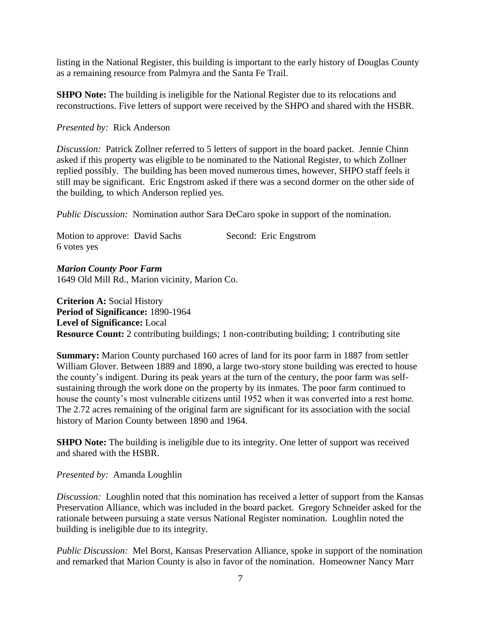listing in the National Register, this building is important to the early history of Douglas County as a remaining resource from Palmyra and the Santa Fe Trail.

**SHPO Note:** The building is ineligible for the National Register due to its relocations and reconstructions. Five letters of support were received by the SHPO and shared with the HSBR.

#### *Presented by:* Rick Anderson

*Discussion:* Patrick Zollner referred to 5 letters of support in the board packet. Jennie Chinn asked if this property was eligible to be nominated to the National Register, to which Zollner replied possibly. The building has been moved numerous times, however, SHPO staff feels it still may be significant. Eric Engstrom asked if there was a second dormer on the other side of the building, to which Anderson replied yes.

*Public Discussion:* Nomination author Sara DeCaro spoke in support of the nomination.

| Motion to approve: David Sachs |  | Second: Eric Engstrom |
|--------------------------------|--|-----------------------|
| 6 votes yes                    |  |                       |

*Marion County Poor Farm* 1649 Old Mill Rd., Marion vicinity, Marion Co.

**Criterion A:** Social History **Period of Significance:** 1890-1964 **Level of Significance:** Local **Resource Count:** 2 contributing buildings; 1 non-contributing building; 1 contributing site

**Summary:** Marion County purchased 160 acres of land for its poor farm in 1887 from settler William Glover. Between 1889 and 1890, a large two-story stone building was erected to house the county's indigent. During its peak years at the turn of the century, the poor farm was selfsustaining through the work done on the property by its inmates. The poor farm continued to house the county's most vulnerable citizens until 1952 when it was converted into a rest home. The 2.72 acres remaining of the original farm are significant for its association with the social history of Marion County between 1890 and 1964.

**SHPO Note:** The building is ineligible due to its integrity. One letter of support was received and shared with the HSBR.

*Presented by:* Amanda Loughlin

*Discussion:* Loughlin noted that this nomination has received a letter of support from the Kansas Preservation Alliance, which was included in the board packet. Gregory Schneider asked for the rationale between pursuing a state versus National Register nomination. Loughlin noted the building is ineligible due to its integrity.

*Public Discussion:* Mel Borst, Kansas Preservation Alliance, spoke in support of the nomination and remarked that Marion County is also in favor of the nomination. Homeowner Nancy Marr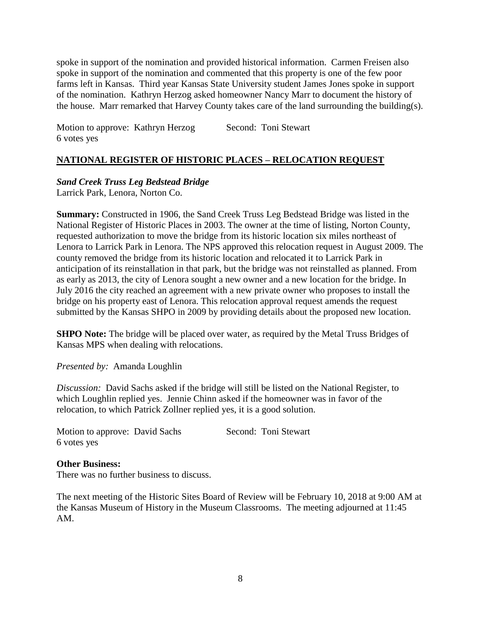spoke in support of the nomination and provided historical information. Carmen Freisen also spoke in support of the nomination and commented that this property is one of the few poor farms left in Kansas. Third year Kansas State University student James Jones spoke in support of the nomination. Kathryn Herzog asked homeowner Nancy Marr to document the history of the house. Marr remarked that Harvey County takes care of the land surrounding the building(s).

Motion to approve: Kathryn Herzog Second: Toni Stewart 6 votes yes

## **NATIONAL REGISTER OF HISTORIC PLACES – RELOCATION REQUEST**

*Sand Creek Truss Leg Bedstead Bridge*

Larrick Park, Lenora, Norton Co.

**Summary:** Constructed in 1906, the Sand Creek Truss Leg Bedstead Bridge was listed in the National Register of Historic Places in 2003. The owner at the time of listing, Norton County, requested authorization to move the bridge from its historic location six miles northeast of Lenora to Larrick Park in Lenora. The NPS approved this relocation request in August 2009. The county removed the bridge from its historic location and relocated it to Larrick Park in anticipation of its reinstallation in that park, but the bridge was not reinstalled as planned. From as early as 2013, the city of Lenora sought a new owner and a new location for the bridge. In July 2016 the city reached an agreement with a new private owner who proposes to install the bridge on his property east of Lenora. This relocation approval request amends the request submitted by the Kansas SHPO in 2009 by providing details about the proposed new location.

**SHPO Note:** The bridge will be placed over water, as required by the Metal Truss Bridges of Kansas MPS when dealing with relocations.

*Presented by:* Amanda Loughlin

*Discussion:* David Sachs asked if the bridge will still be listed on the National Register, to which Loughlin replied yes. Jennie Chinn asked if the homeowner was in favor of the relocation, to which Patrick Zollner replied yes, it is a good solution.

| Motion to approve: David Sachs |  | Second: Toni Stewart |
|--------------------------------|--|----------------------|
| 6 votes yes                    |  |                      |

#### **Other Business:**

There was no further business to discuss.

The next meeting of the Historic Sites Board of Review will be February 10, 2018 at 9:00 AM at the Kansas Museum of History in the Museum Classrooms. The meeting adjourned at 11:45 AM.